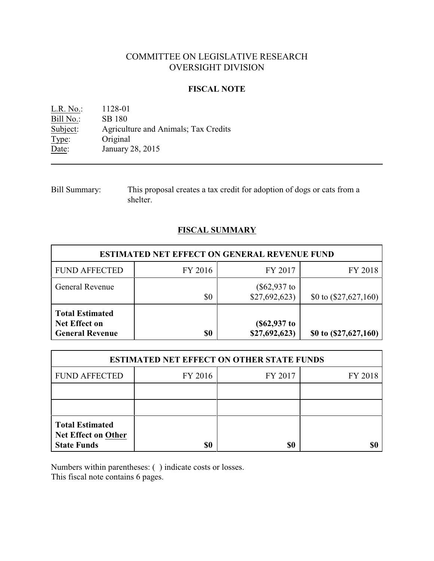# COMMITTEE ON LEGISLATIVE RESEARCH OVERSIGHT DIVISION

#### **FISCAL NOTE**

L.R. No.: 1128-01 Bill No.: SB 180<br>Subject: Agricult Agriculture and Animals; Tax Credits Type: Original Date: January 28, 2015

Bill Summary: This proposal creates a tax credit for adoption of dogs or cats from a shelter.

## **FISCAL SUMMARY**

| <b>ESTIMATED NET EFFECT ON GENERAL REVENUE FUND</b>                      |         |                                 |                         |  |
|--------------------------------------------------------------------------|---------|---------------------------------|-------------------------|--|
| <b>FUND AFFECTED</b>                                                     | FY 2016 | FY 2017                         | FY 2018                 |  |
| <b>General Revenue</b>                                                   | \$0     | $(\$62,937$ to<br>\$27,692,623) | \$0 to $(\$27,627,160)$ |  |
| <b>Total Estimated</b><br><b>Net Effect on</b><br><b>General Revenue</b> | \$0     | $(\$62,937$ to<br>\$27,692,623  | \$0 to (\$27,627,160)   |  |

| <b>ESTIMATED NET EFFECT ON OTHER STATE FUNDS</b>                           |         |         |         |  |
|----------------------------------------------------------------------------|---------|---------|---------|--|
| <b>FUND AFFECTED</b>                                                       | FY 2016 | FY 2017 | FY 2018 |  |
|                                                                            |         |         |         |  |
|                                                                            |         |         |         |  |
| <b>Total Estimated</b><br><b>Net Effect on Other</b><br><b>State Funds</b> | \$0     | \$0     |         |  |

Numbers within parentheses: ( ) indicate costs or losses.

This fiscal note contains 6 pages.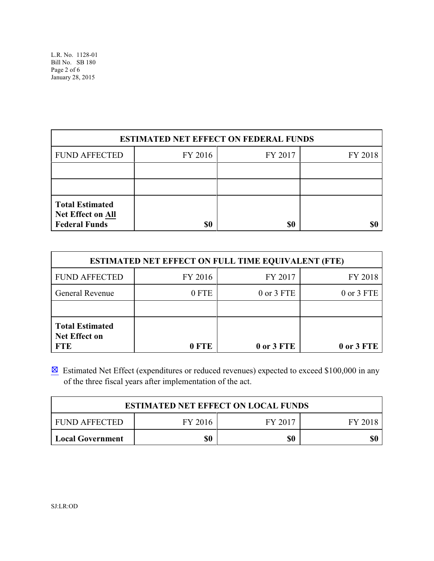| <b>ESTIMATED NET EFFECT ON FEDERAL FUNDS</b>                        |         |         |         |  |
|---------------------------------------------------------------------|---------|---------|---------|--|
| <b>FUND AFFECTED</b>                                                | FY 2016 | FY 2017 | FY 2018 |  |
|                                                                     |         |         |         |  |
|                                                                     |         |         |         |  |
| <b>Total Estimated</b><br>Net Effect on All<br><b>Federal Funds</b> | \$0     | \$0     |         |  |

| <b>ESTIMATED NET EFFECT ON FULL TIME EQUIVALENT (FTE)</b>    |         |            |            |  |
|--------------------------------------------------------------|---------|------------|------------|--|
| <b>FUND AFFECTED</b>                                         | FY 2016 | FY 2017    | FY 2018    |  |
| <b>General Revenue</b>                                       | 0 FTE   | 0 or 3 FTE | 0 or 3 FTE |  |
|                                                              |         |            |            |  |
| <b>Total Estimated</b><br><b>Net Effect on</b><br><b>FTE</b> | 0 FTE   | 0 or 3 FTE | 0 or 3 FTE |  |

 $\boxtimes$  Estimated Net Effect (expenditures or reduced revenues) expected to exceed \$100,000 in any of the three fiscal years after implementation of the act.

| <b>ESTIMATED NET EFFECT ON LOCAL FUNDS</b> |         |         |         |  |
|--------------------------------------------|---------|---------|---------|--|
| <b>FUND AFFECTED</b>                       | FY 2016 | FY 2017 | FY 2018 |  |
| <b>Local Government</b>                    | \$0     | \$0     | \$0     |  |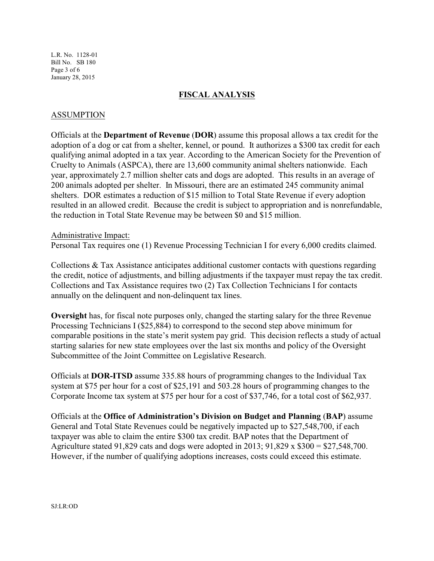L.R. No. 1128-01 Bill No. SB 180 Page 3 of 6 January 28, 2015

#### **FISCAL ANALYSIS**

#### ASSUMPTION

Officials at the **Department of Revenue** (**DOR**) assume this proposal allows a tax credit for the adoption of a dog or cat from a shelter, kennel, or pound. It authorizes a \$300 tax credit for each qualifying animal adopted in a tax year. According to the American Society for the Prevention of Cruelty to Animals (ASPCA), there are 13,600 community animal shelters nationwide. Each year, approximately 2.7 million shelter cats and dogs are adopted. This results in an average of 200 animals adopted per shelter. In Missouri, there are an estimated 245 community animal shelters. DOR estimates a reduction of \$15 million to Total State Revenue if every adoption resulted in an allowed credit. Because the credit is subject to appropriation and is nonrefundable, the reduction in Total State Revenue may be between \$0 and \$15 million.

#### Administrative Impact:

Personal Tax requires one (1) Revenue Processing Technician I for every 6,000 credits claimed.

Collections  $\&$  Tax Assistance anticipates additional customer contacts with questions regarding the credit, notice of adjustments, and billing adjustments if the taxpayer must repay the tax credit. Collections and Tax Assistance requires two (2) Tax Collection Technicians I for contacts annually on the delinquent and non-delinquent tax lines.

**Oversight** has, for fiscal note purposes only, changed the starting salary for the three Revenue Processing Technicians I (\$25,884) to correspond to the second step above minimum for comparable positions in the state's merit system pay grid. This decision reflects a study of actual starting salaries for new state employees over the last six months and policy of the Oversight Subcommittee of the Joint Committee on Legislative Research.

Officials at **DOR-ITSD** assume 335.88 hours of programming changes to the Individual Tax system at \$75 per hour for a cost of \$25,191 and 503.28 hours of programming changes to the Corporate Income tax system at \$75 per hour for a cost of \$37,746, for a total cost of \$62,937.

Officials at the **Office of Administration's Division on Budget and Planning** (**BAP**) assume General and Total State Revenues could be negatively impacted up to \$27,548,700, if each taxpayer was able to claim the entire \$300 tax credit. BAP notes that the Department of Agriculture stated 91,829 cats and dogs were adopted in 2013;  $91,829 \times $300 = $27,548,700$ . However, if the number of qualifying adoptions increases, costs could exceed this estimate.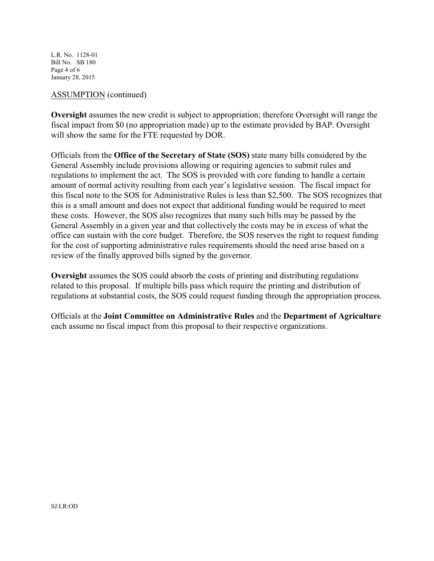L.R. No. 1128-01 Bill No. SB 180 Page 4 of 6 January 28, 2015

#### ASSUMPTION (continued)

**Oversight** assumes the new credit is subject to appropriation; therefore Oversight will range the fiscal impact from \$0 (no appropriation made) up to the estimate provided by BAP. Oversight will show the same for the FTE requested by DOR.

Officials from the **Office of the Secretary of State (SOS)** state many bills considered by the General Assembly include provisions allowing or requiring agencies to submit rules and regulations to implement the act. The SOS is provided with core funding to handle a certain amount of normal activity resulting from each year's legislative session. The fiscal impact for this fiscal note to the SOS for Administrative Rules is less than \$2,500. The SOS recognizes that this is a small amount and does not expect that additional funding would be required to meet these costs. However, the SOS also recognizes that many such bills may be passed by the General Assembly in a given year and that collectively the costs may be in excess of what the office can sustain with the core budget. Therefore, the SOS reserves the right to request funding for the cost of supporting administrative rules requirements should the need arise based on a review of the finally approved bills signed by the governor.

**Oversight** assumes the SOS could absorb the costs of printing and distributing regulations related to this proposal. If multiple bills pass which require the printing and distribution of regulations at substantial costs, the SOS could request funding through the appropriation process.

Officials at the **Joint Committee on Administrative Rules** and the **Department of Agriculture** each assume no fiscal impact from this proposal to their respective organizations.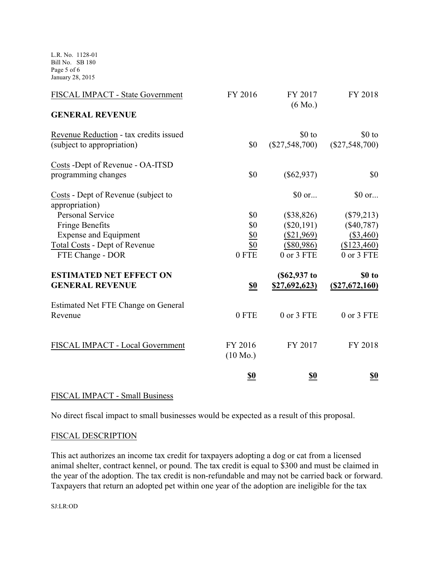L.R. No. 1128-01 Bill No. SB 180 Page 5 of 6 January 28, 2015

| FISCAL IMPACT - State Government                      | FY 2016                       | FY 2017<br>$(6 \text{ Mo.})$ | FY 2018               |
|-------------------------------------------------------|-------------------------------|------------------------------|-----------------------|
| <b>GENERAL REVENUE</b>                                |                               |                              |                       |
| Revenue Reduction - tax credits issued                |                               | \$0 to                       | $$0$ to               |
| (subject to appropriation)                            | \$0                           | $(\$27,548,700)$             | $(\$27,548,700)$      |
| Costs - Dept of Revenue - OA-ITSD                     |                               |                              |                       |
| programming changes                                   | \$0                           | $(\$62,937)$                 | \$0                   |
| Costs - Dept of Revenue (subject to<br>appropriation) |                               | \$0 or                       | $$0 \text{ or} \dots$ |
| <b>Personal Service</b>                               | \$0                           | (\$38,826)                   | $(\$79,213)$          |
| <b>Fringe Benefits</b>                                | \$0                           | $(\$20,191)$                 | $(\$40,787)$          |
| <b>Expense and Equipment</b>                          | <u>\$0</u>                    | $(\$21,969)$                 | $($ \$3,460)          |
| <b>Total Costs - Dept of Revenue</b>                  | \$0                           | $(\$80,986)$                 | (\$123,460)           |
| FTE Change - DOR                                      | 0 FTE                         | 0 or 3 FTE                   | 0 or 3 FTE            |
| <b>ESTIMATED NET EFFECT ON</b>                        |                               | $(\$62,937$ to               | \$0 to                |
| <b>GENERAL REVENUE</b>                                | S <sub>0</sub>                | <u>\$27,692,623)</u>         | (S27, 672, 160)       |
| Estimated Net FTE Change on General<br>Revenue        | 0 FTE                         | 0 or 3 FTE                   | 0 or 3 FTE            |
| FISCAL IMPACT - Local Government                      | FY 2016<br>$(10 \text{ Mo.})$ | FY 2017                      | FY 2018               |
|                                                       | <u>\$0</u>                    | <u>\$0</u>                   | <u>\$0</u>            |

## FISCAL IMPACT - Small Business

No direct fiscal impact to small businesses would be expected as a result of this proposal.

## FISCAL DESCRIPTION

This act authorizes an income tax credit for taxpayers adopting a dog or cat from a licensed animal shelter, contract kennel, or pound. The tax credit is equal to \$300 and must be claimed in the year of the adoption. The tax credit is non-refundable and may not be carried back or forward. Taxpayers that return an adopted pet within one year of the adoption are ineligible for the tax

SJ:LR:OD